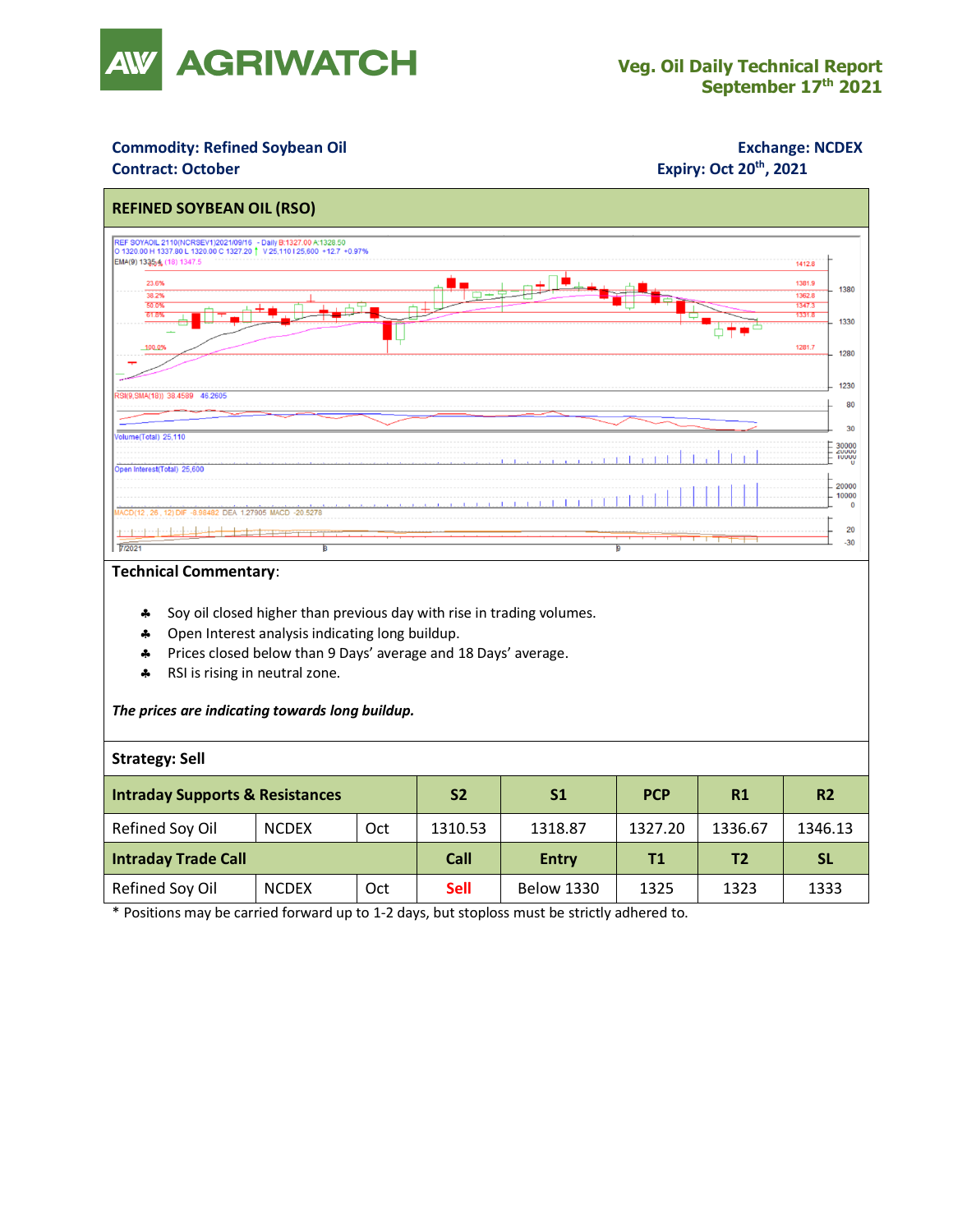

### **Commodity: Refined Soybean Oil <b>Exchange: NCDEX**

### **Contract: October**

## **Expiry: Oct 20<sup>th</sup>, 2021**



#### **Technical Commentary**:

- Soy oil closed higher than previous day with rise in trading volumes.
- **4** Open Interest analysis indicating long buildup.
- Prices closed below than 9 Days' average and 18 Days' average.
- \* RSI is rising in neutral zone.

#### *The prices are indicating towards long buildup.*

#### **Strategy: Sell**

| <b>Intraday Supports &amp; Resistances</b> |              |     | S <sub>2</sub> | S1                | <b>PCP</b> | R1      | <b>R2</b> |
|--------------------------------------------|--------------|-----|----------------|-------------------|------------|---------|-----------|
| Refined Soy Oil                            | <b>NCDEX</b> | Oct | 1310.53        | 1318.87           | 1327.20    | 1336.67 | 1346.13   |
| <b>Intraday Trade Call</b>                 |              |     | Call           | <b>Entry</b>      | T1         | T2      | <b>SL</b> |
| Refined Soy Oil                            | <b>NCDEX</b> | Oct | <b>Sell</b>    | <b>Below 1330</b> | 1325       | 1323    | 1333      |

\* Positions may be carried forward up to 1-2 days, but stoploss must be strictly adhered to.